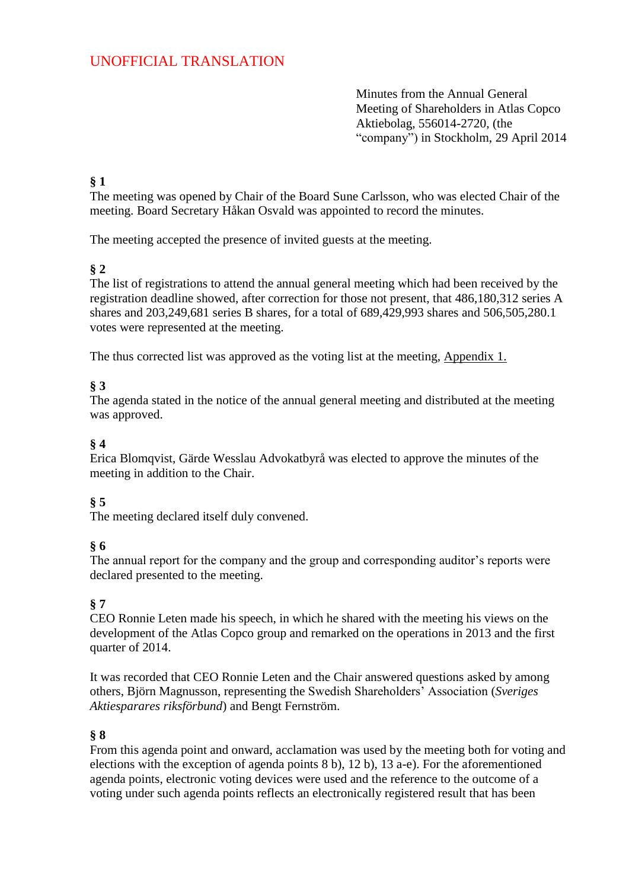# UNOFFICIAL TRANSLATION

Minutes from the Annual General Meeting of Shareholders in Atlas Copco Aktiebolag, 556014-2720, (the "company") in Stockholm, 29 April 2014

#### **§ 1**

The meeting was opened by Chair of the Board Sune Carlsson, who was elected Chair of the meeting. Board Secretary Håkan Osvald was appointed to record the minutes.

The meeting accepted the presence of invited guests at the meeting.

### **§ 2**

The list of registrations to attend the annual general meeting which had been received by the registration deadline showed, after correction for those not present, that 486,180,312 series A shares and 203,249,681 series B shares, for a total of 689,429,993 shares and 506,505,280.1 votes were represented at the meeting.

The thus corrected list was approved as the voting list at the meeting, Appendix 1.

### **§ 3**

The agenda stated in the notice of the annual general meeting and distributed at the meeting was approved.

### **§ 4**

Erica Blomqvist, Gärde Wesslau Advokatbyrå was elected to approve the minutes of the meeting in addition to the Chair.

## **§ 5**

The meeting declared itself duly convened.

### **§ 6**

The annual report for the company and the group and corresponding auditor's reports were declared presented to the meeting.

### **§ 7**

CEO Ronnie Leten made his speech, in which he shared with the meeting his views on the development of the Atlas Copco group and remarked on the operations in 2013 and the first quarter of 2014.

It was recorded that CEO Ronnie Leten and the Chair answered questions asked by among others, Björn Magnusson, representing the Swedish Shareholders' Association (*Sveriges Aktiesparares riksförbund*) and Bengt Fernström.

### **§ 8**

From this agenda point and onward, acclamation was used by the meeting both for voting and elections with the exception of agenda points 8 b), 12 b), 13 a-e). For the aforementioned agenda points, electronic voting devices were used and the reference to the outcome of a voting under such agenda points reflects an electronically registered result that has been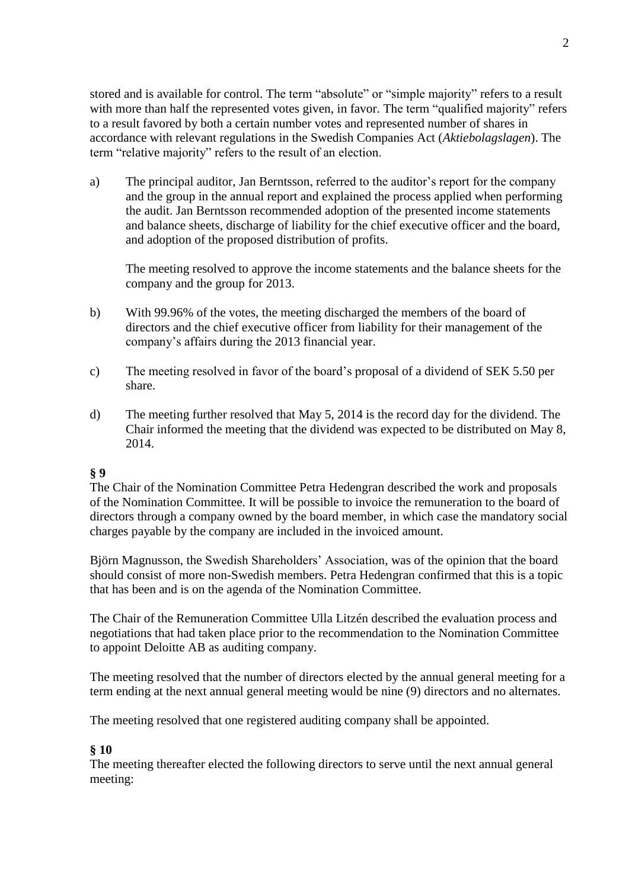stored and is available for control. The term "absolute" or "simple majority" refers to a result with more than half the represented votes given, in favor. The term "qualified majority" refers to a result favored by both a certain number votes and represented number of shares in accordance with relevant regulations in the Swedish Companies Act (*Aktiebolagslagen*). The term "relative majority" refers to the result of an election.

a) The principal auditor, Jan Berntsson, referred to the auditor's report for the company and the group in the annual report and explained the process applied when performing the audit. Jan Berntsson recommended adoption of the presented income statements and balance sheets, discharge of liability for the chief executive officer and the board, and adoption of the proposed distribution of profits.

The meeting resolved to approve the income statements and the balance sheets for the company and the group for 2013.

- b) With 99.96% of the votes, the meeting discharged the members of the board of directors and the chief executive officer from liability for their management of the company's affairs during the 2013 financial year.
- c) The meeting resolved in favor of the board's proposal of a dividend of SEK 5.50 per share.
- d) The meeting further resolved that May 5, 2014 is the record day for the dividend. The Chair informed the meeting that the dividend was expected to be distributed on May 8, 2014.

#### **§ 9**

The Chair of the Nomination Committee Petra Hedengran described the work and proposals of the Nomination Committee. It will be possible to invoice the remuneration to the board of directors through a company owned by the board member, in which case the mandatory social charges payable by the company are included in the invoiced amount.

Björn Magnusson, the Swedish Shareholders' Association, was of the opinion that the board should consist of more non-Swedish members. Petra Hedengran confirmed that this is a topic that has been and is on the agenda of the Nomination Committee.

The Chair of the Remuneration Committee Ulla Litzén described the evaluation process and negotiations that had taken place prior to the recommendation to the Nomination Committee to appoint Deloitte AB as auditing company.

The meeting resolved that the number of directors elected by the annual general meeting for a term ending at the next annual general meeting would be nine (9) directors and no alternates.

The meeting resolved that one registered auditing company shall be appointed.

#### **§ 10**

The meeting thereafter elected the following directors to serve until the next annual general meeting: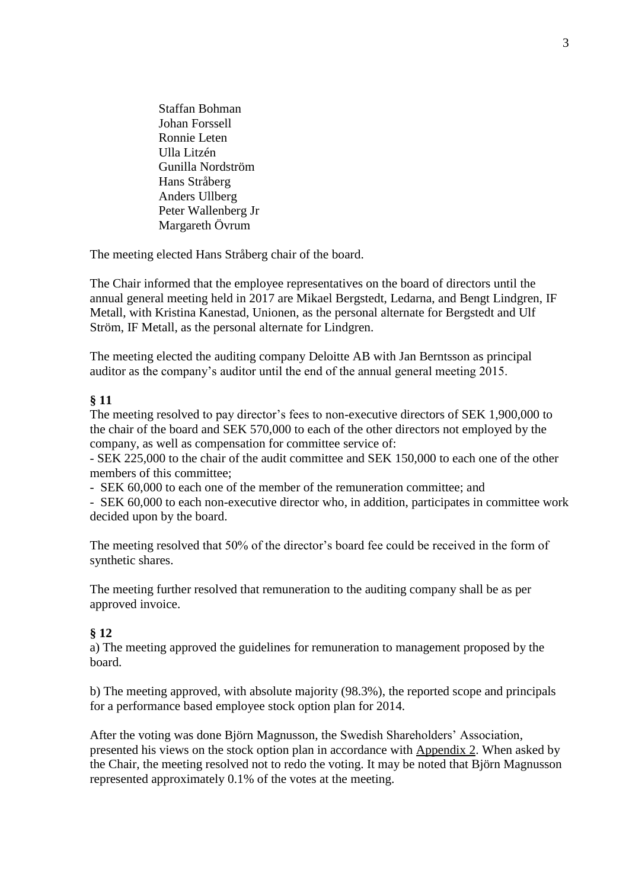Staffan Bohman Johan Forssell Ronnie Leten Ulla Litzén Gunilla Nordström Hans Stråberg Anders Ullberg Peter Wallenberg Jr Margareth Övrum

The meeting elected Hans Stråberg chair of the board.

The Chair informed that the employee representatives on the board of directors until the annual general meeting held in 2017 are Mikael Bergstedt, Ledarna, and Bengt Lindgren, IF Metall, with Kristina Kanestad, Unionen, as the personal alternate for Bergstedt and Ulf Ström, IF Metall, as the personal alternate for Lindgren.

The meeting elected the auditing company Deloitte AB with Jan Berntsson as principal auditor as the company's auditor until the end of the annual general meeting 2015.

#### **§ 11**

The meeting resolved to pay director's fees to non-executive directors of SEK 1,900,000 to the chair of the board and SEK 570,000 to each of the other directors not employed by the company, as well as compensation for committee service of:

- SEK 225,000 to the chair of the audit committee and SEK 150,000 to each one of the other members of this committee;

- SEK 60,000 to each one of the member of the remuneration committee; and

- SEK 60,000 to each non-executive director who, in addition, participates in committee work decided upon by the board.

The meeting resolved that 50% of the director's board fee could be received in the form of synthetic shares.

The meeting further resolved that remuneration to the auditing company shall be as per approved invoice.

#### **§ 12**

a) The meeting approved the guidelines for remuneration to management proposed by the board.

b) The meeting approved, with absolute majority (98.3%), the reported scope and principals for a performance based employee stock option plan for 2014.

After the voting was done Björn Magnusson, the Swedish Shareholders' Association, presented his views on the stock option plan in accordance with Appendix 2. When asked by the Chair, the meeting resolved not to redo the voting. It may be noted that Björn Magnusson represented approximately 0.1% of the votes at the meeting.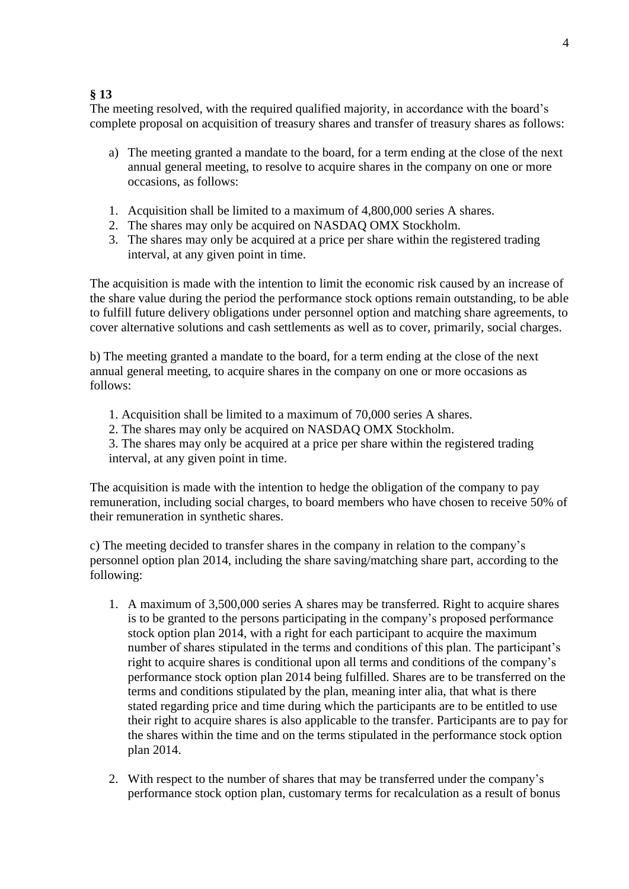### **§ 13**

The meeting resolved, with the required qualified majority, in accordance with the board's complete proposal on acquisition of treasury shares and transfer of treasury shares as follows:

- a) The meeting granted a mandate to the board, for a term ending at the close of the next annual general meeting, to resolve to acquire shares in the company on one or more occasions, as follows:
- 1. Acquisition shall be limited to a maximum of 4,800,000 series A shares.
- 2. The shares may only be acquired on NASDAQ OMX Stockholm.
- 3. The shares may only be acquired at a price per share within the registered trading interval, at any given point in time.

The acquisition is made with the intention to limit the economic risk caused by an increase of the share value during the period the performance stock options remain outstanding, to be able to fulfill future delivery obligations under personnel option and matching share agreements, to cover alternative solutions and cash settlements as well as to cover, primarily, social charges.

b) The meeting granted a mandate to the board, for a term ending at the close of the next annual general meeting, to acquire shares in the company on one or more occasions as follows:

- 1. Acquisition shall be limited to a maximum of 70,000 series A shares.
- 2. The shares may only be acquired on NASDAQ OMX Stockholm.

3. The shares may only be acquired at a price per share within the registered trading interval, at any given point in time.

The acquisition is made with the intention to hedge the obligation of the company to pay remuneration, including social charges, to board members who have chosen to receive 50% of their remuneration in synthetic shares.

c) The meeting decided to transfer shares in the company in relation to the company's personnel option plan 2014, including the share saving/matching share part, according to the following:

- 1. A maximum of 3,500,000 series A shares may be transferred. Right to acquire shares is to be granted to the persons participating in the company's proposed performance stock option plan 2014, with a right for each participant to acquire the maximum number of shares stipulated in the terms and conditions of this plan. The participant's right to acquire shares is conditional upon all terms and conditions of the company's performance stock option plan 2014 being fulfilled. Shares are to be transferred on the terms and conditions stipulated by the plan, meaning inter alia, that what is there stated regarding price and time during which the participants are to be entitled to use their right to acquire shares is also applicable to the transfer. Participants are to pay for the shares within the time and on the terms stipulated in the performance stock option plan 2014.
- 2. With respect to the number of shares that may be transferred under the company's performance stock option plan, customary terms for recalculation as a result of bonus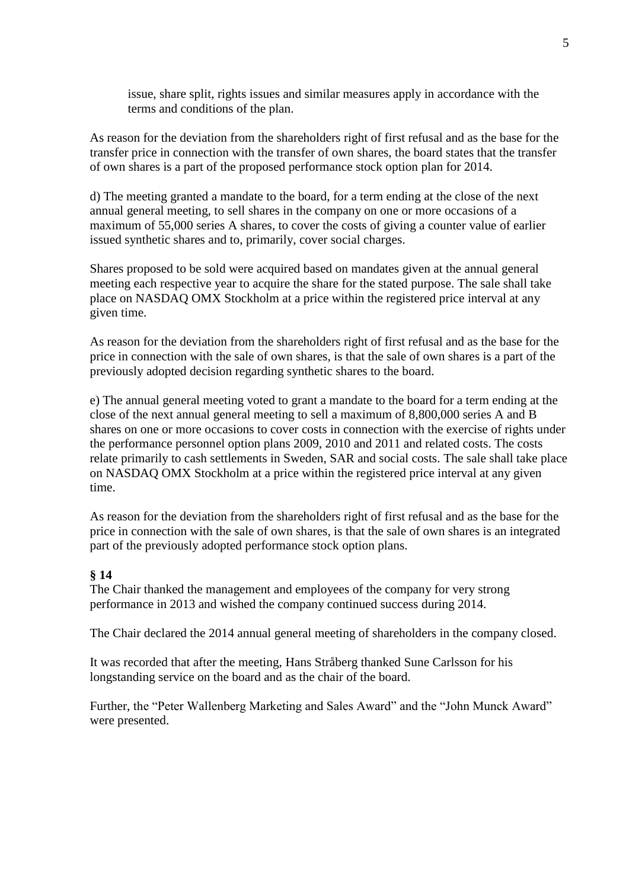issue, share split, rights issues and similar measures apply in accordance with the terms and conditions of the plan.

As reason for the deviation from the shareholders right of first refusal and as the base for the transfer price in connection with the transfer of own shares, the board states that the transfer of own shares is a part of the proposed performance stock option plan for 2014.

d) The meeting granted a mandate to the board, for a term ending at the close of the next annual general meeting, to sell shares in the company on one or more occasions of a maximum of 55,000 series A shares, to cover the costs of giving a counter value of earlier issued synthetic shares and to, primarily, cover social charges.

Shares proposed to be sold were acquired based on mandates given at the annual general meeting each respective year to acquire the share for the stated purpose. The sale shall take place on NASDAQ OMX Stockholm at a price within the registered price interval at any given time.

As reason for the deviation from the shareholders right of first refusal and as the base for the price in connection with the sale of own shares, is that the sale of own shares is a part of the previously adopted decision regarding synthetic shares to the board.

e) The annual general meeting voted to grant a mandate to the board for a term ending at the close of the next annual general meeting to sell a maximum of 8,800,000 series A and B shares on one or more occasions to cover costs in connection with the exercise of rights under the performance personnel option plans 2009, 2010 and 2011 and related costs. The costs relate primarily to cash settlements in Sweden, SAR and social costs. The sale shall take place on NASDAQ OMX Stockholm at a price within the registered price interval at any given time.

As reason for the deviation from the shareholders right of first refusal and as the base for the price in connection with the sale of own shares, is that the sale of own shares is an integrated part of the previously adopted performance stock option plans.

#### **§ 14**

The Chair thanked the management and employees of the company for very strong performance in 2013 and wished the company continued success during 2014.

The Chair declared the 2014 annual general meeting of shareholders in the company closed.

It was recorded that after the meeting, Hans Stråberg thanked Sune Carlsson for his longstanding service on the board and as the chair of the board.

Further, the "Peter Wallenberg Marketing and Sales Award" and the "John Munck Award" were presented.